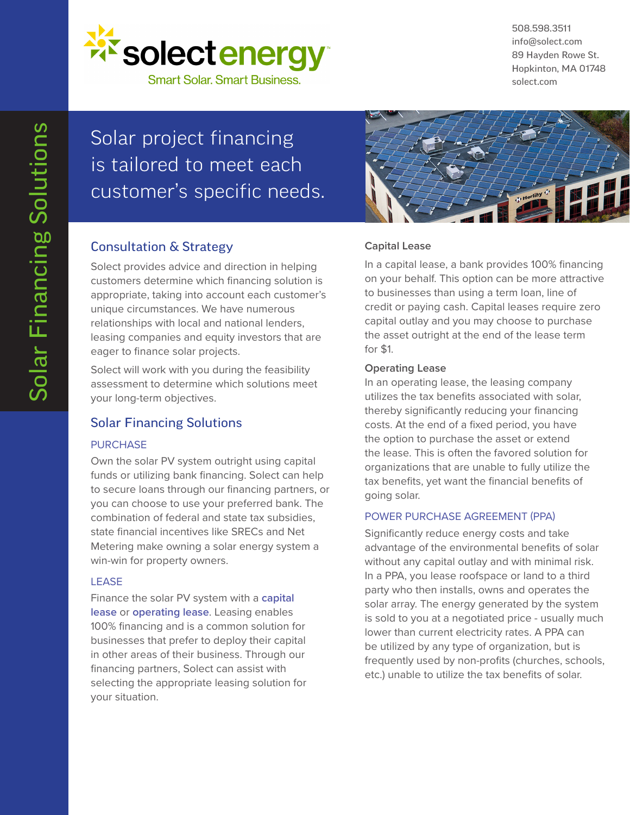

508.598.3511 info@solect.com 89 Hayden Rowe St. Hopkinton, MA 01748 solect.com

# Solar project financing is tailored to meet each customer's specific needs. Consultation & Strategy

Solect provides advice and direction in helping customers determine which financing solution is appropriate, taking into account each customer's unique circumstances. We have numerous relationships with local and national lenders, leasing companies and equity investors that are eager to finance solar projects.

Solect will work with you during the feasibility assessment to determine which solutions meet your long-term objectives.

## Solar Financing Solutions

### PURCHASE

Own the solar PV system outright using capital funds or utilizing bank financing. Solect can help to secure loans through our financing partners, or you can choose to use your preferred bank. The combination of federal and state tax subsidies, state financial incentives like SRECs and Net Metering make owning a solar energy system a win-win for property owners.

#### LEASE

Finance the solar PV system with a **capital lease** or **operating lease**. Leasing enables 100% financing and is a common solution for businesses that prefer to deploy their capital in other areas of their business. Through our financing partners, Solect can assist with selecting the appropriate leasing solution for your situation.



### **Capital Lease**

In a capital lease, a bank provides 100% financing on your behalf. This option can be more attractive to businesses than using a term loan, line of credit or paying cash. Capital leases require zero capital outlay and you may choose to purchase the asset outright at the end of the lease term for \$1.

#### **Operating Lease**

In an operating lease, the leasing company utilizes the tax benefits associated with solar, thereby significantly reducing your financing costs. At the end of a fixed period, you have the option to purchase the asset or extend the lease. This is often the favored solution for organizations that are unable to fully utilize the tax benefits, yet want the financial benefits of going solar.

#### POWER PURCHASE AGREEMENT (PPA)

Significantly reduce energy costs and take advantage of the environmental benefits of solar without any capital outlay and with minimal risk. In a PPA, you lease roofspace or land to a third party who then installs, owns and operates the solar array. The energy generated by the system is sold to you at a negotiated price - usually much lower than current electricity rates. A PPA can be utilized by any type of organization, but is frequently used by non-profits (churches, schools, etc.) unable to utilize the tax benefits of solar.